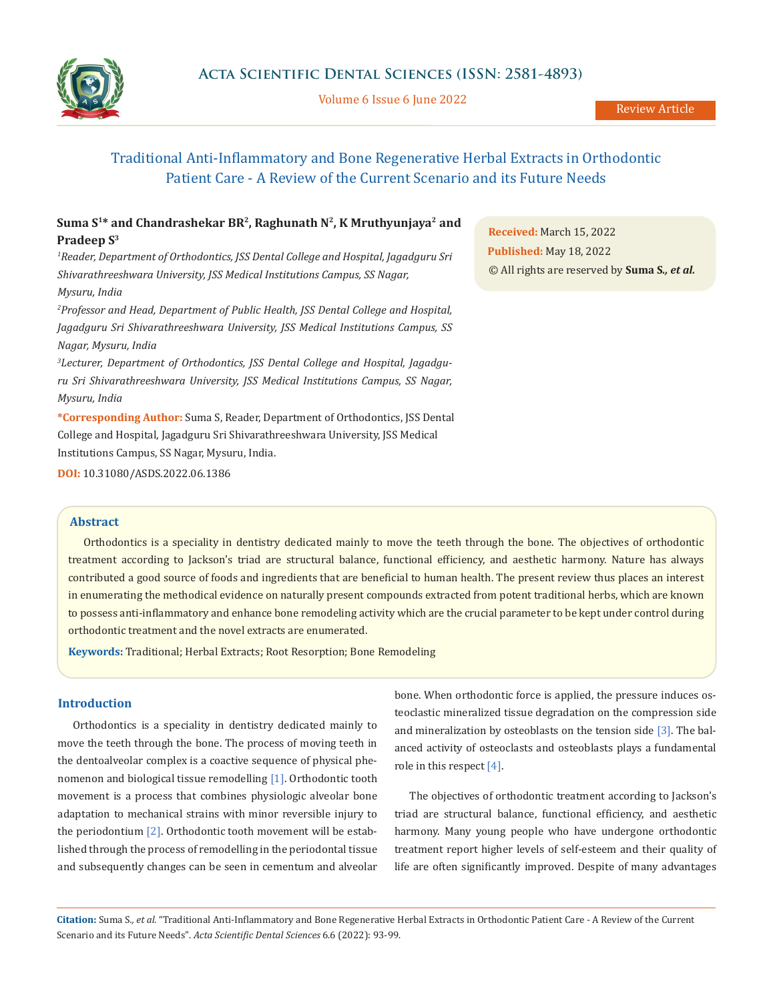

Volume 6 Issue 6 June 2022

# Traditional Anti-Inflammatory and Bone Regenerative Herbal Extracts in Orthodontic Patient Care - A Review of the Current Scenario and its Future Needs

## Suma S<sup>1\*</sup> and Chandrashekar BR<sup>2</sup>, Raghunath N<sup>2</sup>, K Mruthyunjaya<sup>2</sup> and **Pradeep S3**

*1 Reader, Department of Orthodontics, JSS Dental College and Hospital, Jagadguru Sri Shivarathreeshwara University, JSS Medical Institutions Campus, SS Nagar, Mysuru, India*

*2 Professor and Head, Department of Public Health, JSS Dental College and Hospital, Jagadguru Sri Shivarathreeshwara University, JSS Medical Institutions Campus, SS Nagar, Mysuru, India*

*3 Lecturer, Department of Orthodontics, JSS Dental College and Hospital, Jagadguru Sri Shivarathreeshwara University, JSS Medical Institutions Campus, SS Nagar, Mysuru, India*

**\*Corresponding Author:** Suma S, Reader, Department of Orthodontics, JSS Dental College and Hospital, Jagadguru Sri Shivarathreeshwara University, JSS Medical Institutions Campus, SS Nagar, Mysuru, India.

**DOI:** [10.31080/ASDS.2022.06.1386](https://actascientific.com/ASDS/pdf/ASDS-06-1386.pdf)

**Received:** March 15, 2022 **Published:** May 18, 2022 © All rights are reserved by **Suma S***., et al.*

## **Abstract**

Orthodontics is a speciality in dentistry dedicated mainly to move the teeth through the bone. The objectives of orthodontic treatment according to Jackson's triad are structural balance, functional efficiency, and aesthetic harmony. Nature has always contributed a good source of foods and ingredients that are beneficial to human health. The present review thus places an interest in enumerating the methodical evidence on naturally present compounds extracted from potent traditional herbs, which are known to possess anti-inflammatory and enhance bone remodeling activity which are the crucial parameter to be kept under control during orthodontic treatment and the novel extracts are enumerated.

**Keywords:** Traditional; Herbal Extracts; Root Resorption; Bone Remodeling

## **Introduction**

Orthodontics is a speciality in dentistry dedicated mainly to move the teeth through the bone. The process of moving teeth in the dentoalveolar complex is a coactive sequence of physical phenomenon and biological tissue remodelling [1]. Orthodontic tooth movement is a process that combines physiologic alveolar bone adaptation to mechanical strains with minor reversible injury to the periodontium [2]. Orthodontic tooth movement will be established through the process of remodelling in the periodontal tissue and subsequently changes can be seen in cementum and alveolar bone. When orthodontic force is applied, the pressure induces osteoclastic mineralized tissue degradation on the compression side and mineralization by osteoblasts on the tension side [3]. The balanced activity of osteoclasts and osteoblasts plays a fundamental role in this respect [4].

The objectives of orthodontic treatment according to Jackson's triad are structural balance, functional efficiency, and aesthetic harmony. Many young people who have undergone orthodontic treatment report higher levels of self-esteem and their quality of life are often significantly improved. Despite of many advantages

**Citation:** Suma S*., et al.* "Traditional Anti-Inflammatory and Bone Regenerative Herbal Extracts in Orthodontic Patient Care - A Review of the Current Scenario and its Future Needs". *Acta Scientific Dental Sciences* 6.6 (2022): 93-99.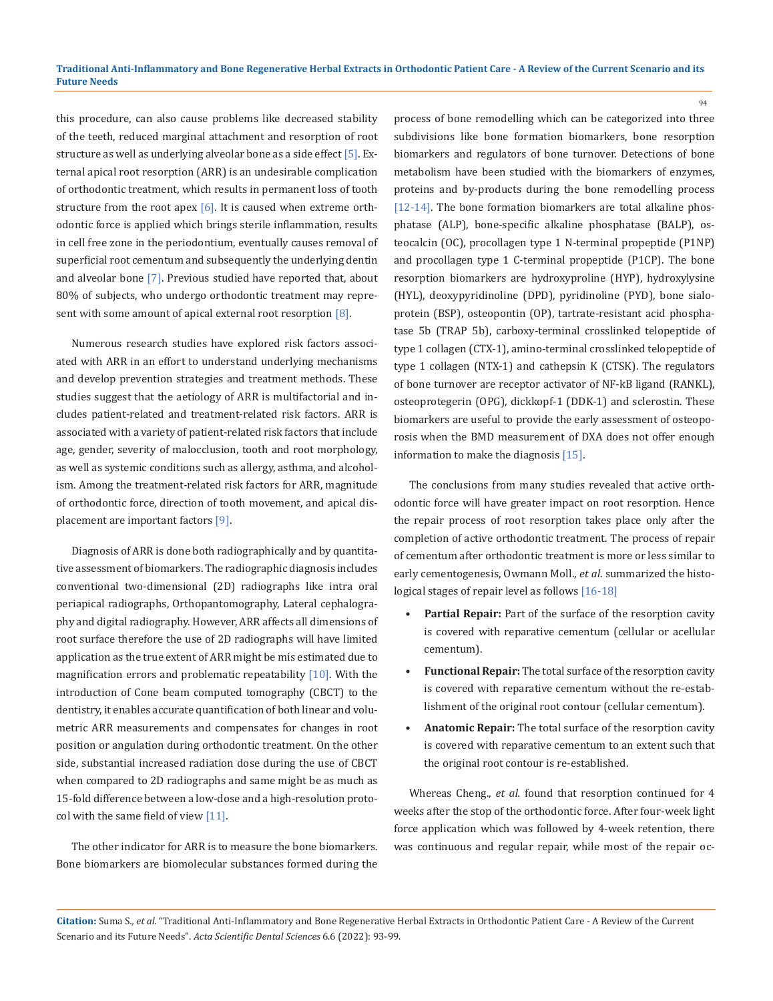this procedure, can also cause problems like decreased stability of the teeth, reduced marginal attachment and resorption of root structure as well as underlying alveolar bone as a side effect [5]. External apical root resorption (ARR) is an undesirable complication of orthodontic treatment, which results in permanent loss of tooth structure from the root apex  $[6]$ . It is caused when extreme orthodontic force is applied which brings sterile inflammation, results in cell free zone in the periodontium, eventually causes removal of superficial root cementum and subsequently the underlying dentin and alveolar bone [7]. Previous studied have reported that, about 80% of subjects, who undergo orthodontic treatment may represent with some amount of apical external root resorption  $[8]$ .

Numerous research studies have explored risk factors associated with ARR in an effort to understand underlying mechanisms and develop prevention strategies and treatment methods. These studies suggest that the aetiology of ARR is multifactorial and includes patient-related and treatment-related risk factors. ARR is associated with a variety of patient-related risk factors that include age, gender, severity of malocclusion, tooth and root morphology, as well as systemic conditions such as allergy, asthma, and alcoholism. Among the treatment-related risk factors for ARR, magnitude of orthodontic force, direction of tooth movement, and apical displacement are important factors [9].

Diagnosis of ARR is done both radiographically and by quantitative assessment of biomarkers. The radiographic diagnosis includes conventional two-dimensional (2D) radiographs like intra oral periapical radiographs, Orthopantomography, Lateral cephalography and digital radiography. However, ARR affects all dimensions of root surface therefore the use of 2D radiographs will have limited application as the true extent of ARR might be mis estimated due to magnification errors and problematic repeatability [10]. With the introduction of Cone beam computed tomography (CBCT) to the dentistry, it enables accurate quantification of both linear and volumetric ARR measurements and compensates for changes in root position or angulation during orthodontic treatment. On the other side, substantial increased radiation dose during the use of CBCT when compared to 2D radiographs and same might be as much as 15-fold difference between a low-dose and a high-resolution protocol with the same field of view  $[11]$ .

The other indicator for ARR is to measure the bone biomarkers. Bone biomarkers are biomolecular substances formed during the process of bone remodelling which can be categorized into three subdivisions like bone formation biomarkers, bone resorption biomarkers and regulators of bone turnover. Detections of bone metabolism have been studied with the biomarkers of enzymes, proteins and by-products during the bone remodelling process [[12-](https://biomarkerres.biomedcentral.com/articles/10.1186/s40364-017-0097-4#ref-CR12)14]. The bone formation biomarkers are total alkaline phosphatase (ALP), bone-specific alkaline phosphatase (BALP), osteocalcin (OC), procollagen type 1 N-terminal propeptide (P1NP) and procollagen type 1 C-terminal propeptide (P1CP). The bone resorption biomarkers are hydroxyproline (HYP), hydroxylysine (HYL), deoxypyridinoline (DPD), pyridinoline (PYD), bone sialoprotein (BSP), osteopontin (OP), tartrate-resistant acid phosphatase 5b (TRAP 5b), carboxy-terminal crosslinked telopeptide of type 1 collagen (CTX-1), amino-terminal crosslinked telopeptide of type 1 collagen (NTX-1) and cathepsin K (CTSK). The regulators of bone turnover are receptor activator of NF-kB ligand (RANKL), osteoprotegerin (OPG), dickkopf-1 (DDK-1) and sclerostin. These biomarkers are useful to provide the early assessment of osteoporosis when the BMD measurement of DXA does not offer enough information to make the diagnosis [15].

The conclusions from many studies revealed that active orthodontic force will have greater impact on root resorption. Hence the repair process of root resorption takes place only after the completion of active orthodontic treatment. The process of repair of cementum after orthodontic treatment is more or less similar to early cementogenesis, Owmann Moll., *et al*. summarized the histological stages of repair level as follows [16-18]

- **• Partial Repair:** Part of the surface of the resorption cavity is covered with reparative cementum (cellular or acellular cementum).
- **• Functional Repair:** The total surface of the resorption cavity is covered with reparative cementum without the re-establishment of the original root contour (cellular cementum).
- **• Anatomic Repair:** The total surface of the resorption cavity is covered with reparative cementum to an extent such that the original root contour is re-established.

Whereas Cheng., *et al.* found that resorption continued for 4 weeks after the stop of the orthodontic force. After four-week light force application which was followed by 4-week retention, there was continuous and regular repair, while most of the repair oc-

**Citation:** Suma S*., et al.* "Traditional Anti-Inflammatory and Bone Regenerative Herbal Extracts in Orthodontic Patient Care - A Review of the Current Scenario and its Future Needs". *Acta Scientific Dental Sciences* 6.6 (2022): 93-99.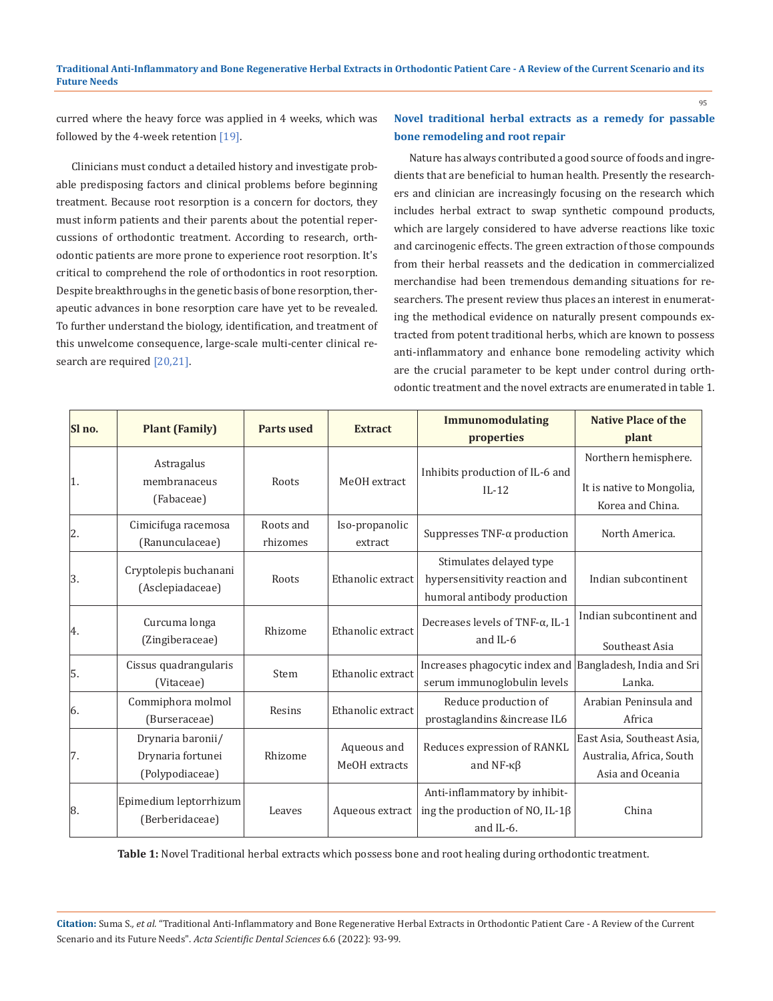## **Traditional Anti-Inflammatory and Bone Regenerative Herbal Extracts in Orthodontic Patient Care - A Review of the Current Scenario and its Future Needs**

curred where the heavy force was applied in 4 weeks, which was followed by the 4-week retention [19].

Clinicians must conduct a detailed history and investigate probable predisposing factors and clinical problems before beginning treatment. Because root resorption is a concern for doctors, they must inform patients and their parents about the potential repercussions of orthodontic treatment. According to research, orthodontic patients are more prone to experience root resorption. It's critical to comprehend the role of orthodontics in root resorption. Despite breakthroughs in the genetic basis of bone resorption, therapeutic advances in bone resorption care have yet to be revealed. To further understand the biology, identification, and treatment of this unwelcome consequence, large-scale multi-center clinical research are required [20,21].

## **Novel traditional herbal extracts as a remedy for passable bone remodeling and root repair**

Nature has always contributed a good source of foods and ingredients that are beneficial to human health. Presently the researchers and clinician are increasingly focusing on the research which includes herbal extract to swap synthetic compound products, which are largely considered to have adverse reactions like toxic and carcinogenic effects. The green extraction of those compounds from their herbal reassets and the dedication in commercialized merchandise had been tremendous demanding situations for researchers. The present review thus places an interest in enumerating the methodical evidence on naturally present compounds extracted from potent traditional herbs, which are known to possess anti-inflammatory and enhance bone remodeling activity which are the crucial parameter to be kept under control during orthodontic treatment and the novel extracts are enumerated in table 1.

| Sl no. | <b>Plant (Family)</b>                                     | <b>Parts used</b>     | <b>Extract</b>               | <b>Immunomodulating</b><br>properties                                                   | <b>Native Place of the</b><br>plant                                        |
|--------|-----------------------------------------------------------|-----------------------|------------------------------|-----------------------------------------------------------------------------------------|----------------------------------------------------------------------------|
| 1.     | Astragalus<br>membranaceus<br>(Fabaceae)                  | Roots                 | MeOH extract                 | Inhibits production of IL-6 and<br>$IL-12$                                              | Northern hemisphere.<br>It is native to Mongolia,<br>Korea and China.      |
| 2.     | Cimicifuga racemosa<br>(Ranunculaceae)                    | Roots and<br>rhizomes | Iso-propanolic<br>extract    | Suppresses TNF- $\alpha$ production                                                     | North America.                                                             |
| 3.     | Cryptolepis buchanani<br>(Asclepiadaceae)                 | Roots                 | Ethanolic extract            | Stimulates delayed type<br>hypersensitivity reaction and<br>humoral antibody production | Indian subcontinent                                                        |
| 4.     | Curcuma longa<br>(Zingiberaceae)                          | Rhizome               | Ethanolic extract            | Decreases levels of TNF- $\alpha$ , IL-1<br>and IL-6                                    | Indian subcontinent and<br>Southeast Asia                                  |
| 5.     | Cissus quadrangularis<br>(Vitaceae)                       | Stem                  | Ethanolic extract            | Increases phagocytic index and Bangladesh, India and Sri<br>serum immunoglobulin levels | Lanka.                                                                     |
| 6.     | Commiphora molmol<br>(Burseraceae)                        | Resins                | Ethanolic extract            | Reduce production of<br>prostaglandins &increase IL6                                    | Arabian Peninsula and<br>Africa                                            |
| 7.     | Drynaria baronii/<br>Drynaria fortunei<br>(Polypodiaceae) | Rhizome               | Aqueous and<br>MeOH extracts | Reduces expression of RANKL<br>and NF- $\kappa\beta$                                    | East Asia, Southeast Asia,<br>Australia, Africa, South<br>Asia and Oceania |
| 8.     | Epimedium leptorrhizum<br>(Berberidaceae)                 | Leaves                | Aqueous extract              | Anti-inflammatory by inhibit-<br>ing the production of NO, IL-1 $\beta$<br>and IL-6.    | China                                                                      |

**Table 1:** Novel Traditional herbal extracts which possess bone and root healing during orthodontic treatment.

**Citation:** Suma S*., et al.* "Traditional Anti-Inflammatory and Bone Regenerative Herbal Extracts in Orthodontic Patient Care - A Review of the Current Scenario and its Future Needs". *Acta Scientific Dental Sciences* 6.6 (2022): 93-99.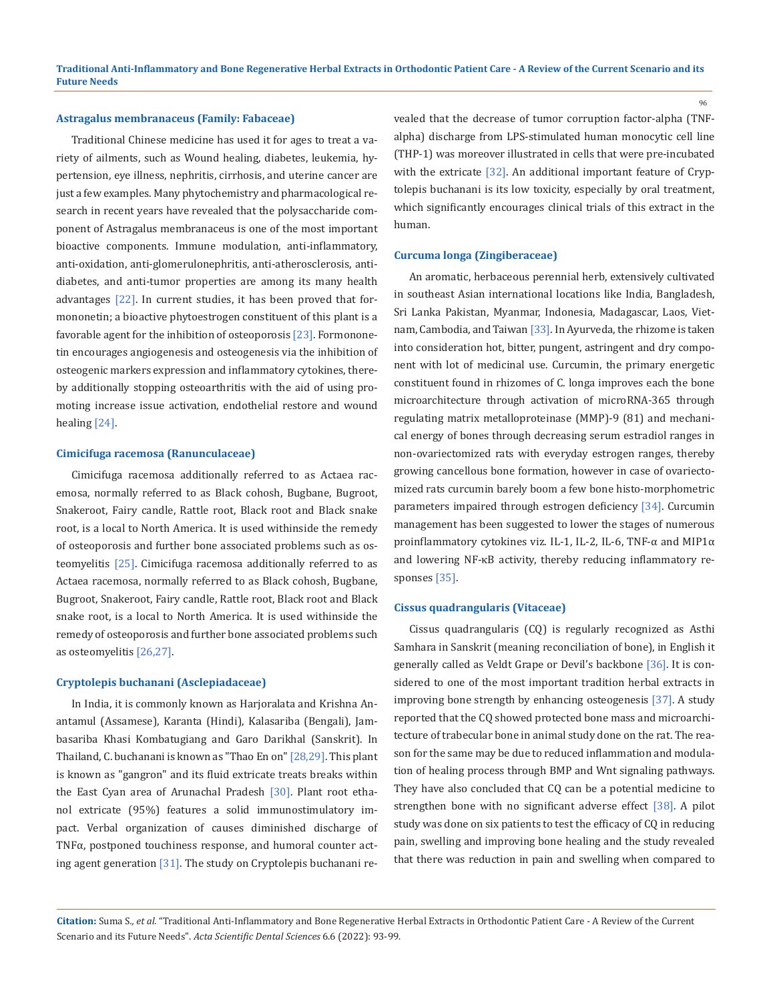**Traditional Anti-Inflammatory and Bone Regenerative Herbal Extracts in Orthodontic Patient Care - A Review of the Current Scenario and its Future Needs**

#### **Astragalus membranaceus (Family: Fabaceae)**

Traditional Chinese medicine has used it for ages to treat a variety of ailments, such as Wound healing, diabetes, leukemia, hypertension, eye illness, nephritis, cirrhosis, and uterine cancer are just a few examples. Many phytochemistry and pharmacological research in recent years have revealed that the polysaccharide component of Astragalus membranaceus is one of the most important bioactive components. Immune modulation, anti-inflammatory, anti-oxidation, anti-glomerulonephritis, anti-atherosclerosis, antidiabetes, and anti-tumor properties are among its many health advantages [22]. In current studies, it has been proved that formononetin; a bioactive phytoestrogen constituent of this plant is a favorable agent for the inhibition of osteoporosis [23]. Formononetin encourages angiogenesis and osteogenesis via the inhibition of osteogenic markers expression and inflammatory cytokines, thereby additionally stopping osteoarthritis with the aid of using promoting increase issue activation, endothelial restore and wound healing [24].

## **Cimicifuga racemosa (Ranunculaceae)**

Cimicifuga racemosa additionally referred to as Actaea racemosa, normally referred to as Black cohosh, Bugbane, Bugroot, Snakeroot, Fairy candle, Rattle root, Black root and Black snake root, is a local to North America. It is used withinside the remedy of osteoporosis and further bone associated problems such as osteomyelitis [25]. Cimicifuga racemosa additionally referred to as Actaea racemosa, normally referred to as Black cohosh, Bugbane, Bugroot, Snakeroot, Fairy candle, Rattle root, Black root and Black snake root, is a local to North America. It is used withinside the remedy of osteoporosis and further bone associated problems such as osteomyelitis [26,27].

#### **Cryptolepis buchanani (Asclepiadaceae)**

In India, it is commonly known as Harjoralata and Krishna Anantamul (Assamese), Karanta (Hindi), Kalasariba (Bengali), Jambasariba Khasi Kombatugiang and Garo Darikhal (Sanskrit). In Thailand, C. buchanani is known as "Thao En on" [28,29]. This plant is known as "gangron" and its fluid extricate treats breaks within the East Cyan area of Arunachal Pradesh [30]. Plant root ethanol extricate (95%) features a solid immunostimulatory impact. Verbal organization of causes diminished discharge of TNFα, postponed touchiness response, and humoral counter acting agent generation [31]. The study on Cryptolepis buchanani revealed that the decrease of tumor corruption factor-alpha (TNFalpha) discharge from LPS-stimulated human monocytic cell line (THP-1) was moreover illustrated in cells that were pre-incubated with the extricate [32]. An additional important feature of Cryptolepis buchanani is its low toxicity, especially by oral treatment, which significantly encourages clinical trials of this extract in the human.

#### **Curcuma longa (Zingiberaceae)**

An aromatic, herbaceous perennial herb, extensively cultivated in southeast Asian international locations like India, Bangladesh, Sri Lanka Pakistan, Myanmar, Indonesia, Madagascar, Laos, Vietnam, Cambodia, and Taiwan [33]. In Ayurveda, the rhizome is taken into consideration hot, bitter, pungent, astringent and dry component with lot of medicinal use. Curcumin, the primary energetic constituent found in rhizomes of C. longa improves each the bone microarchitecture through activation of microRNA-365 through regulating matrix metalloproteinase (MMP)-9 (81) and mechanical energy of bones through decreasing serum estradiol ranges in non-ovariectomized rats with everyday estrogen ranges, thereby growing cancellous bone formation, however in case of ovariectomized rats curcumin barely boom a few bone histo-morphometric parameters impaired through estrogen deficiency [34]. Curcumin management has been suggested to lower the stages of numerous proinflammatory cytokines viz. IL-1, IL-2, IL-6, TNF-α and MIP1α and lowering NF-κB activity, thereby reducing inflammatory responses [35].

## **Cissus quadrangularis (Vitaceae)**

Cissus quadrangularis (CQ) is regularly recognized as Asthi Samhara in Sanskrit (meaning reconciliation of bone), in English it generally called as Veldt Grape or Devil's backbone [36]. It is considered to one of the most important tradition herbal extracts in improving bone strength by enhancing osteogenesis [37]. A study reported that the CQ showed protected bone mass and microarchitecture of trabecular bone in animal study done on the rat. The reason for the same may be due to reduced inflammation and modulation of healing process through BMP and Wnt signaling pathways. They have also concluded that CQ can be a potential medicine to strengthen bone with no significant adverse effect [38]. A pilot study was done on six patients to test the efficacy of CQ in reducing pain, swelling and improving bone healing and the study revealed that there was reduction in pain and swelling when compared to

**Citation:** Suma S*., et al.* "Traditional Anti-Inflammatory and Bone Regenerative Herbal Extracts in Orthodontic Patient Care - A Review of the Current Scenario and its Future Needs". *Acta Scientific Dental Sciences* 6.6 (2022): 93-99.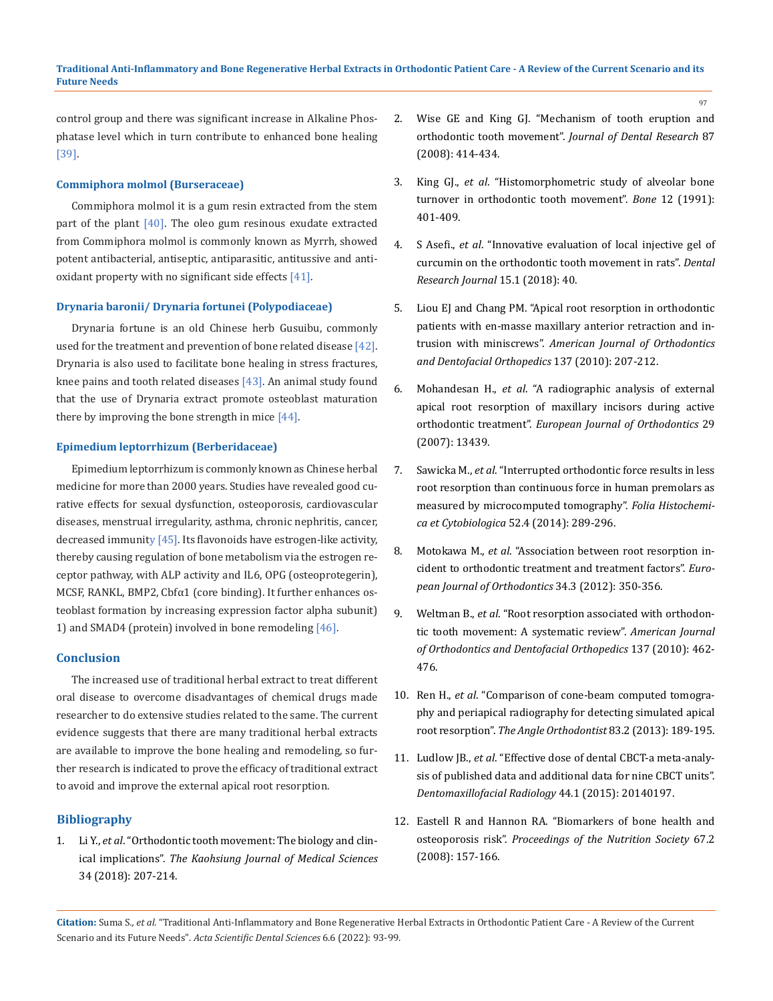control group and there was significant increase in Alkaline Phosphatase level which in turn contribute to enhanced bone healing [39].

## **Commiphora molmol (Burseraceae)**

Commiphora molmol it is a gum resin extracted from the stem part of the plant [40]. The oleo gum resinous exudate extracted from Commiphora molmol is commonly known as Myrrh, showed potent antibacterial, antiseptic, antiparasitic, antitussive and antioxidant property with no significant side effects [41].

## **Drynaria baronii/ Drynaria fortunei (Polypodiaceae)**

Drynaria fortune is an old Chinese herb Gusuibu, commonly used for the treatment and prevention of bone related disease [42]. Drynaria is also used to facilitate bone healing in stress fractures, knee pains and tooth related diseases [43]. An animal study found that the use of Drynaria extract promote osteoblast maturation there by improving the bone strength in mice [44].

## **Epimedium leptorrhizum (Berberidaceae)**

Epimedium leptorrhizum is commonly known as Chinese herbal medicine for more than 2000 years. Studies have revealed good curative effects for [sexual dysfunction,](https://www.sciencedirect.com/topics/medicine-and-dentistry/sexual-dysfunction) [osteoporosis,](https://www.sciencedirect.com/topics/medicine-and-dentistry/osteoporosis) cardiovascular diseases, [menstrual irregularity](https://www.sciencedirect.com/topics/medicine-and-dentistry/menstrual-irregularity), asthma, chronic [nephritis](https://www.sciencedirect.com/topics/medicine-and-dentistry/nephritic-syndrome), cancer, decreased immunity [45]. Its flavonoids have estrogen-like activity, thereby causing regulation of bone metabolism via the estrogen receptor pathway, with ALP activity and IL6, OPG (osteoprotegerin), MCSF, RANKL, BMP2, Cbfα1 (core binding). It further enhances osteoblast formation by increasing expression factor alpha subunit) 1) and SMAD4 (protein) involved in bone remodeling [46].

### **Conclusion**

The increased use of traditional herbal extract to treat different oral disease to overcome disadvantages of chemical drugs made researcher to do extensive studies related to the same. The current evidence suggests that there are many traditional herbal extracts are available to improve the bone healing and remodeling, so further research is indicated to prove the efficacy of traditional extract to avoid and improve the external apical root resorption.

## **Bibliography**

1. Li Y., *et al*[. "Orthodontic tooth movement: The biology and clin](https://pubmed.ncbi.nlm.nih.gov/29655409/)ical implications". *[The Kaohsiung Journal of Medical Sciences](https://pubmed.ncbi.nlm.nih.gov/29655409/)*  [34 \(2018\): 207-214.](https://pubmed.ncbi.nlm.nih.gov/29655409/)

- 2. [Wise GE and King GJ. "Mechanism of tooth eruption and](https://pubmed.ncbi.nlm.nih.gov/18434571/)  orthodontic tooth movement". *[Journal of Dental Research](https://pubmed.ncbi.nlm.nih.gov/18434571/)* 87 [\(2008\): 414-434.](https://pubmed.ncbi.nlm.nih.gov/18434571/)
- 3. King GJ., *et al*[. "Histomorphometric study of alveolar bone](https://pubmed.ncbi.nlm.nih.gov/1797055/)  [turnover in orthodontic tooth movement".](https://pubmed.ncbi.nlm.nih.gov/1797055/) *Bone* 12 (1991): [401-409.](https://pubmed.ncbi.nlm.nih.gov/1797055/)
- 4. S Asefi., *et al*[. "Innovative evaluation of local injective gel of](https://pubmed.ncbi.nlm.nih.gov/29497446/)  [curcumin on the orthodontic tooth movement in rats".](https://pubmed.ncbi.nlm.nih.gov/29497446/) *Dental [Research Journal](https://pubmed.ncbi.nlm.nih.gov/29497446/)* 15.1 (2018): 40.
- 5. [Liou EJ and Chang PM. "Apical root resorption in orthodontic](https://pubmed.ncbi.nlm.nih.gov/20152676/)  [patients with en-masse maxillary anterior retraction and in](https://pubmed.ncbi.nlm.nih.gov/20152676/)trusion with miniscrews". *[American Journal of Orthodontics](https://pubmed.ncbi.nlm.nih.gov/20152676/)  [and Dentofacial Orthopedics](https://pubmed.ncbi.nlm.nih.gov/20152676/)* 137 (2010): 207-212.
- 6. Mohandesan H., *et al*[. "A radiographic analysis of external](https://pubmed.ncbi.nlm.nih.gov/17229789/)  [apical root resorption of maxillary incisors during active](https://pubmed.ncbi.nlm.nih.gov/17229789/)  orthodontic treatment". *[European Journal of Orthodontics](https://pubmed.ncbi.nlm.nih.gov/17229789/)* 29 [\(2007\): 13439.](https://pubmed.ncbi.nlm.nih.gov/17229789/)
- 7. Sawicka M., *et al*[. "Interrupted orthodontic force results in less](https://pubmed.ncbi.nlm.nih.gov/25530465/)  [root resorption than continuous force in human premolars as](https://pubmed.ncbi.nlm.nih.gov/25530465/)  [measured by microcomputed tomography".](https://pubmed.ncbi.nlm.nih.gov/25530465/) *Folia Histochemi[ca et Cytobiologica](https://pubmed.ncbi.nlm.nih.gov/25530465/)* 52.4 (2014): 289-296.
- 8. Motokawa M., *et al*[. "Association between root resorption in](https://www.researchgate.net/publication/51541990_Association_between_root_resorption_incident_to_orthodontic_treatment_and_treatment_factors)[cident to orthodontic treatment and treatment factors".](https://www.researchgate.net/publication/51541990_Association_between_root_resorption_incident_to_orthodontic_treatment_and_treatment_factors) *Euro[pean Journal of Orthodontics](https://www.researchgate.net/publication/51541990_Association_between_root_resorption_incident_to_orthodontic_treatment_and_treatment_factors)* 34.3 (2012): 350-356.
- 9. Weltman B., *et al*[. "Root resorption associated with orthodon](https://pubmed.ncbi.nlm.nih.gov/20362905/)[tic tooth movement: A systematic review".](https://pubmed.ncbi.nlm.nih.gov/20362905/) *American Journal [of Orthodontics and Dentofacial Orthopedics](https://pubmed.ncbi.nlm.nih.gov/20362905/)* 137 (2010): 462- [476.](https://pubmed.ncbi.nlm.nih.gov/20362905/)
- 10. Ren H., *et al*[. "Comparison of cone-beam computed tomogra](https://pubmed.ncbi.nlm.nih.gov/22891767/)[phy and periapical radiography for detecting simulated apical](https://pubmed.ncbi.nlm.nih.gov/22891767/)  root resorption". *[The Angle Orthodontist](https://pubmed.ncbi.nlm.nih.gov/22891767/)* 83.2 (2013): 189-195.
- 11. Ludlow JB., *et al*[. "Effective dose of dental CBCT-a meta-analy](https://pubmed.ncbi.nlm.nih.gov/25224586/)[sis of published data and additional data for nine CBCT units".](https://pubmed.ncbi.nlm.nih.gov/25224586/)  *[Dentomaxillofacial Radiology](https://pubmed.ncbi.nlm.nih.gov/25224586/)* 44.1 (2015): 20140197.
- 12. [Eastell R and Hannon RA. "Biomarkers of bone health and](https://pubmed.ncbi.nlm.nih.gov/18412989/)  osteoporosis risk". *[Proceedings of the Nutrition Society](https://pubmed.ncbi.nlm.nih.gov/18412989/)* 67.2 [\(2008\): 157-166.](https://pubmed.ncbi.nlm.nih.gov/18412989/)

**Citation:** Suma S*., et al.* "Traditional Anti-Inflammatory and Bone Regenerative Herbal Extracts in Orthodontic Patient Care - A Review of the Current Scenario and its Future Needs". *Acta Scientific Dental Sciences* 6.6 (2022): 93-99.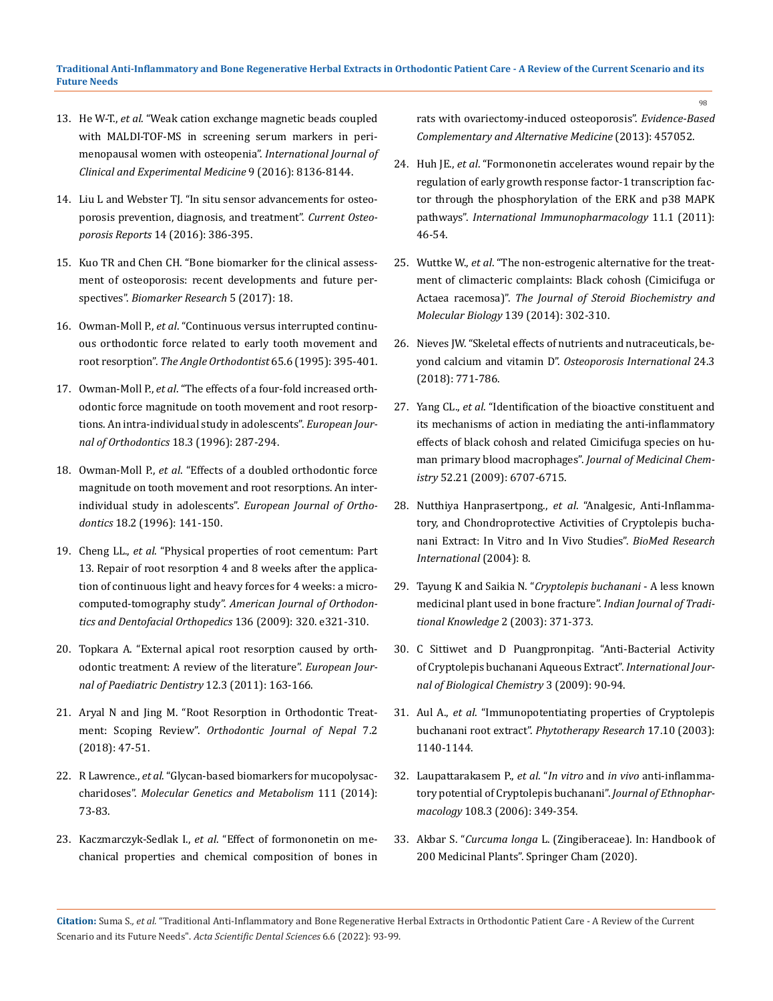- 13. He W-T., *et al*[. "Weak cation exchange magnetic beads coupled](https://pubmed.ncbi.nlm.nih.gov/27347465/)  [with MALDI-TOF-MS in screening serum markers in peri](https://pubmed.ncbi.nlm.nih.gov/27347465/)[menopausal women with osteopenia".](https://pubmed.ncbi.nlm.nih.gov/27347465/) *International Journal of [Clinical and Experimental Medicine](https://pubmed.ncbi.nlm.nih.gov/27347465/)* 9 (2016): 8136-8144.
- 14. [Liu L and Webster TJ. "In situ sensor advancements for osteo](https://pubmed.ncbi.nlm.nih.gov/27815807/)[porosis prevention, diagnosis, and treatment".](https://pubmed.ncbi.nlm.nih.gov/27815807/) *Current Osteoporosis Reports* [14 \(2016\): 386-395.](https://pubmed.ncbi.nlm.nih.gov/27815807/)
- 15. [Kuo TR and Chen CH. "Bone biomarker for the clinical assess](https://pubmed.ncbi.nlm.nih.gov/28529755/)[ment of osteoporosis: recent developments and future per](https://pubmed.ncbi.nlm.nih.gov/28529755/)spectives". *[Biomarker Research](https://pubmed.ncbi.nlm.nih.gov/28529755/)* 5 (2017): 18.
- 16. Owman-Moll P., *et al*[. "Continuous versus interrupted continu](https://pubmed.ncbi.nlm.nih.gov/8702064/)[ous orthodontic force related to early tooth movement and](https://pubmed.ncbi.nlm.nih.gov/8702064/)  root resorption". *[The Angle Orthodontist](https://pubmed.ncbi.nlm.nih.gov/8702064/)* 65.6 (1995): 395-401.
- 17. Owman-Moll P., *et al*[. "The effects of a four-fold increased orth](https://pubmed.ncbi.nlm.nih.gov/8791892/)[odontic force magnitude on tooth movement and root resorp](https://pubmed.ncbi.nlm.nih.gov/8791892/)[tions. An intra-individual study in adolescents".](https://pubmed.ncbi.nlm.nih.gov/8791892/) *European Jour[nal of Orthodontics](https://pubmed.ncbi.nlm.nih.gov/8791892/)* 18.3 (1996): 287-294.
- 18. Owman-Moll P., *et al*[. "Effects of a doubled orthodontic force](https://pubmed.ncbi.nlm.nih.gov/8670926/)  [magnitude on tooth movement and root resorptions. An inter](https://pubmed.ncbi.nlm.nih.gov/8670926/)individual study in adolescents". *[European Journal of Ortho](https://pubmed.ncbi.nlm.nih.gov/8670926/)dontics* [18.2 \(1996\): 141-150.](https://pubmed.ncbi.nlm.nih.gov/8670926/)
- 19. Cheng LL., *et al*[. "Physical properties of root cementum: Part](https://pubmed.ncbi.nlm.nih.gov/19732664/)  [13. Repair of root resorption 4 and 8 weeks after the applica](https://pubmed.ncbi.nlm.nih.gov/19732664/)[tion of continuous light and heavy forces for 4 weeks: a micro](https://pubmed.ncbi.nlm.nih.gov/19732664/)computed-tomography study". *[American Journal of Orthodon](https://pubmed.ncbi.nlm.nih.gov/19732664/)[tics and Dentofacial Orthopedics](https://pubmed.ncbi.nlm.nih.gov/19732664/)* 136 (2009): 320. e321-310.
- 20. [Topkara A. "External apical root resorption caused by orth](https://www.researchgate.net/publication/51793350_External_apical_root_resorption_caused_by_orthodontic_treatment_A_review_of_the_literature)[odontic treatment: A review of the literature".](https://www.researchgate.net/publication/51793350_External_apical_root_resorption_caused_by_orthodontic_treatment_A_review_of_the_literature) *European Jour[nal of Paediatric Dentistry](https://www.researchgate.net/publication/51793350_External_apical_root_resorption_caused_by_orthodontic_treatment_A_review_of_the_literature)* 12.3 (2011): 163-166.
- 21. [Aryal N and Jing M. "Root Resorption in Orthodontic Treat](https://www.researchgate.net/publication/325653573_Root_Resorption_in_Orthodontic_Treatment_Scoping_Review)ment: Scoping Review". *[Orthodontic Journal of Nepal](https://www.researchgate.net/publication/325653573_Root_Resorption_in_Orthodontic_Treatment_Scoping_Review)* 7.2 [\(2018\): 47-51.](https://www.researchgate.net/publication/325653573_Root_Resorption_in_Orthodontic_Treatment_Scoping_Review)
- 22. R Lawrence., *et al*[. "Glycan-based biomarkers for mucopolysac](https://pubmed.ncbi.nlm.nih.gov/23958290/)charidoses". *[Molecular Genetics and Metabolism](https://pubmed.ncbi.nlm.nih.gov/23958290/)* 111 (2014): [73-83.](https://pubmed.ncbi.nlm.nih.gov/23958290/)
- 23. Kaczmarczyk-Sedlak I., *et al*[. "Effect of formononetin on me](https://pubmed.ncbi.nlm.nih.gov/23762138/)[chanical properties and chemical composition of bones in](https://pubmed.ncbi.nlm.nih.gov/23762138/)

[rats with ovariectomy-induced osteoporosis".](https://pubmed.ncbi.nlm.nih.gov/23762138/) *Evidence-Based [Complementary and Alternative Medicine](https://pubmed.ncbi.nlm.nih.gov/23762138/)* (2013): 457052.

- 24. Huh JE., *et al*[. "Formononetin accelerates wound repair by the](https://pubmed.ncbi.nlm.nih.gov/20959155/)  [regulation of early growth response factor-1 transcription fac](https://pubmed.ncbi.nlm.nih.gov/20959155/)[tor through the phosphorylation of the ERK and p38 MAPK](https://pubmed.ncbi.nlm.nih.gov/20959155/)  pathways". *[International Immunopharmacology](https://pubmed.ncbi.nlm.nih.gov/20959155/)* 11.1 (2011): [46-54.](https://pubmed.ncbi.nlm.nih.gov/20959155/)
- 25. Wuttke W., *et al*[. "The non-estrogenic alternative for the treat](https://pubmed.ncbi.nlm.nih.gov/23459142/)[ment of climacteric complaints: Black cohosh \(Cimicifuga or](https://pubmed.ncbi.nlm.nih.gov/23459142/)  Actaea racemosa)". *[The Journal of Steroid Biochemistry and](https://pubmed.ncbi.nlm.nih.gov/23459142/)  [Molecular Biology](https://pubmed.ncbi.nlm.nih.gov/23459142/)* 139 (2014): 302-310.
- 26. [Nieves JW. "Skeletal effects of nutrients and nutraceuticals, be](https://pubmed.ncbi.nlm.nih.gov/23152094/)yond calcium and vitamin D". *[Osteoporosis International](https://pubmed.ncbi.nlm.nih.gov/23152094/)* 24.3 [\(2018\): 771-786.](https://pubmed.ncbi.nlm.nih.gov/23152094/)
- 27. Yang CL., *et al*[. "Identification of the bioactive constituent and](https://pubmed.ncbi.nlm.nih.gov/19835377/)  [its mechanisms of action in mediating the anti-inflammatory](https://pubmed.ncbi.nlm.nih.gov/19835377/)  [effects of black cohosh and related Cimicifuga species on hu](https://pubmed.ncbi.nlm.nih.gov/19835377/)[man primary blood macrophages".](https://pubmed.ncbi.nlm.nih.gov/19835377/) *Journal of Medicinal Chemistry* [52.21 \(2009\): 6707-6715.](https://pubmed.ncbi.nlm.nih.gov/19835377/)
- 28. Nutthiya Hanprasertpong., *et al*[. "Analgesic, Anti-Inflamma](https://pubmed.ncbi.nlm.nih.gov/25247198/)[tory, and Chondroprotective Activities of](https://pubmed.ncbi.nlm.nih.gov/25247198/) Cryptolepis buchanani Extract: In Vitro and In Vivo Studies". *[BioMed Research](https://pubmed.ncbi.nlm.nih.gov/25247198/)  [International](https://pubmed.ncbi.nlm.nih.gov/25247198/)* (2004): 8.
- 29. Tayung K and Saikia N. "*[Cryptolepis buchanani](http://nopr.niscair.res.in/bitstream/123456789/25969/1/IJTK%202%284%29%20371-374.pdf)* A less known [medicinal plant used in bone fracture".](http://nopr.niscair.res.in/bitstream/123456789/25969/1/IJTK%202%284%29%20371-374.pdf) *Indian Journal of Tradi[tional Knowledge](http://nopr.niscair.res.in/bitstream/123456789/25969/1/IJTK%202%284%29%20371-374.pdf)* 2 (2003): 371-373.
- 30. [C Sittiwet and D Puangpronpitag. "Anti-Bacterial Activity](https://www.researchgate.net/publication/240989350_AntiBacterial_Activity_of_Cryptolepis_buchanani_Aqueous_Extract)  of Cryptolepis buchanani Aqueous Extract". *[International Jour](https://www.researchgate.net/publication/240989350_AntiBacterial_Activity_of_Cryptolepis_buchanani_Aqueous_Extract)[nal of Biological Chemistry](https://www.researchgate.net/publication/240989350_AntiBacterial_Activity_of_Cryptolepis_buchanani_Aqueous_Extract)* 3 (2009): 90-94.
- 31. Aul A., *et al*[. "Immunopotentiating properties of Cryptolepis](https://pubmed.ncbi.nlm.nih.gov/19170143/)  buchanani root extract". *[Phytotherapy Research](https://pubmed.ncbi.nlm.nih.gov/19170143/)* 17.10 (2003): [1140-1144.](https://pubmed.ncbi.nlm.nih.gov/19170143/)
- 32. [Laupattarakasem P.,](https://pubmed.ncbi.nlm.nih.gov/16831527/) *et al*. "*In vitro* and *in vivo* anti-inflamma[tory potential of Cryptolepis buchanani".](https://pubmed.ncbi.nlm.nih.gov/16831527/) *Journal of Ethnopharmacology* [108.3 \(2006\): 349-354.](https://pubmed.ncbi.nlm.nih.gov/16831527/)
- 33. Akbar S. "*Curcuma longa* L. (Zingiberaceae). In: Handbook of 200 Medicinal Plants". Springer Cham (2020).

**Citation:** Suma S*., et al.* "Traditional Anti-Inflammatory and Bone Regenerative Herbal Extracts in Orthodontic Patient Care - A Review of the Current Scenario and its Future Needs". *Acta Scientific Dental Sciences* 6.6 (2022): 93-99.